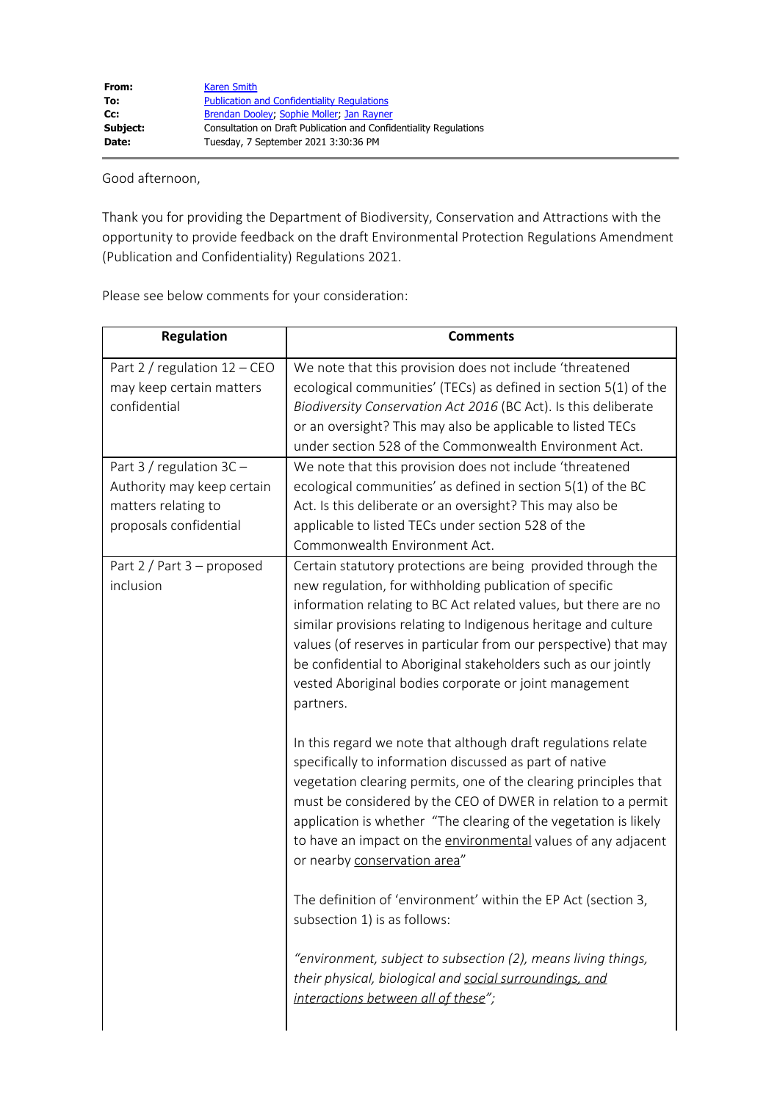Good afternoon,

Thank you for providing the Department of Biodiversity, Conservation and Attractions with the opportunity to provide feedback on the draft Environmental Protection Regulations Amendment (Publication and Confidentiality) Regulations 2021.

Please see below comments for your consideration:

| <b>Regulation</b>                                                                                          | <b>Comments</b>                                                                                                                                                                                                                                                                                                                                                                                                                                                                                                                     |
|------------------------------------------------------------------------------------------------------------|-------------------------------------------------------------------------------------------------------------------------------------------------------------------------------------------------------------------------------------------------------------------------------------------------------------------------------------------------------------------------------------------------------------------------------------------------------------------------------------------------------------------------------------|
| Part 2 / regulation $12 -$ CEO<br>may keep certain matters<br>confidential                                 | We note that this provision does not include 'threatened<br>ecological communities' (TECs) as defined in section 5(1) of the<br>Biodiversity Conservation Act 2016 (BC Act). Is this deliberate<br>or an oversight? This may also be applicable to listed TECs<br>under section 528 of the Commonwealth Environment Act.                                                                                                                                                                                                            |
| Part $3/$ regulation $3C -$<br>Authority may keep certain<br>matters relating to<br>proposals confidential | We note that this provision does not include 'threatened<br>ecological communities' as defined in section 5(1) of the BC<br>Act. Is this deliberate or an oversight? This may also be<br>applicable to listed TECs under section 528 of the<br>Commonwealth Environment Act.                                                                                                                                                                                                                                                        |
| Part 2 / Part 3 - proposed<br>inclusion                                                                    | Certain statutory protections are being provided through the<br>new regulation, for withholding publication of specific<br>information relating to BC Act related values, but there are no<br>similar provisions relating to Indigenous heritage and culture<br>values (of reserves in particular from our perspective) that may<br>be confidential to Aboriginal stakeholders such as our jointly<br>vested Aboriginal bodies corporate or joint management<br>partners.                                                           |
|                                                                                                            | In this regard we note that although draft regulations relate<br>specifically to information discussed as part of native<br>vegetation clearing permits, one of the clearing principles that<br>must be considered by the CEO of DWER in relation to a permit<br>application is whether "The clearing of the vegetation is likely<br>to have an impact on the environmental values of any adjacent<br>or nearby conservation area"<br>The definition of 'environment' within the EP Act (section 3,<br>subsection 1) is as follows: |
|                                                                                                            | "environment, subject to subsection (2), means living things,<br>their physical, biological and social surroundings, and<br>interactions between all of these";                                                                                                                                                                                                                                                                                                                                                                     |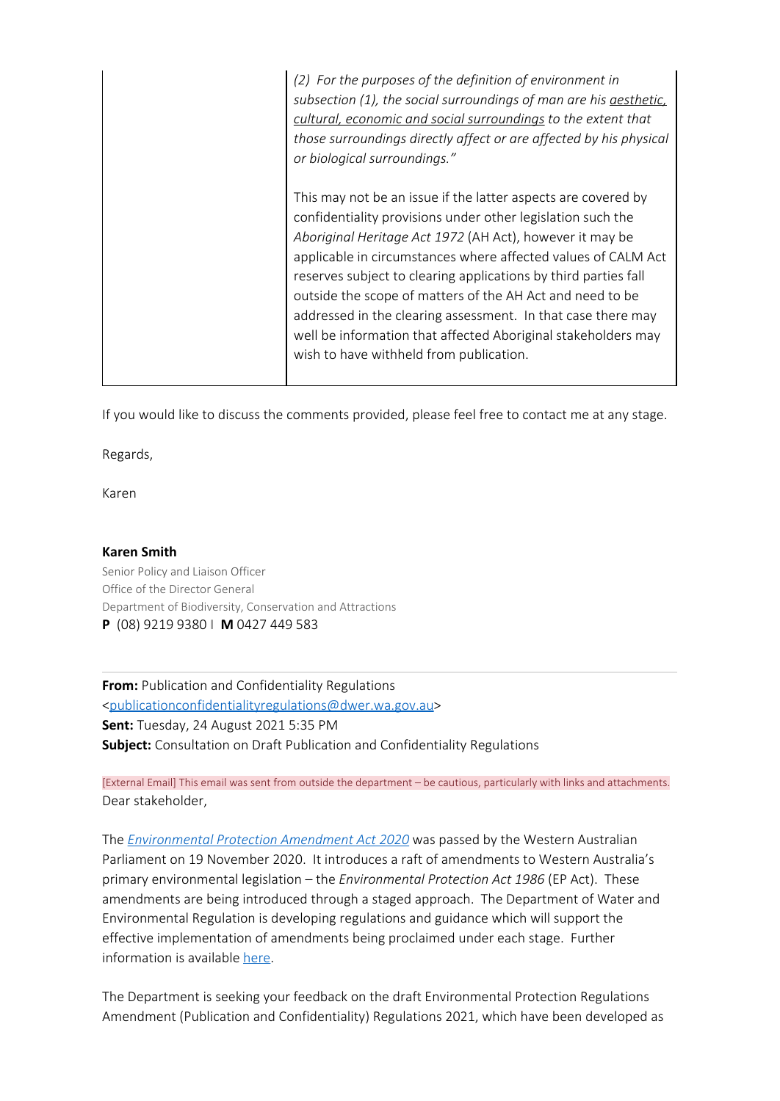*(2) For the purposes of the definition of environment in subsection (1), the social surroundings of man are his aesthetic, cultural, economic and social surroundings to the extent that those surroundings directly affect or are affected by his physical or biological surroundings."* This may not be an issue if the latter aspects are covered by confidentiality provisions under other legislation such the *Aboriginal Heritage Act 1972* (AH Act), however it may be applicable in circumstances where affected values of CALM Act reserves subject to clearing applications by third parties fall outside the scope of matters of the AH Act and need to be addressed in the clearing assessment. In that case there may well be information that affected Aboriginal stakeholders may wish to have withheld from publication.

If you would like to discuss the comments provided, please feel free to contact me at any stage.

Regards,

Karen

## **Karen Smith**

Senior Policy and Liaison Officer Office of the Director General Department of Biodiversity, Conservation and Attractions **P** (08) 9219 9380 **I M** 0427 449 583

**From:** Publication and Confidentiality Regulations [<publicationconfidentialityregulations@dwer.wa.gov.au](mailto:publicationconfidentialityregulations@dwer.wa.gov.au)> **Sent:** Tuesday, 24 August 2021 5:35 PM **Subject:** Consultation on Draft Publication and Confidentiality Regulations

[External Email] This email was sent from outside the department – be cautious, particularly with links and attachments. Dear stakeholder,

The *[Environmental Protection Amendment Act 2020](https://aus01.safelinks.protection.outlook.com/?url=https%3A%2F%2Fwww.legislation.wa.gov.au%2Flegislation%2Fprod%2Ffilestore.nsf%2FFileURL%2Fmrdoc_43468.pdf%2F%24FILE%2FEnvironmental%2520Protection%2520Amendment%2520Act%25202020%2520-%2520%255B00-00-00%255D.pdf%3FOpenElement&data=04%7C01%7Cpublicationconfidentialityregulations%40dwer.wa.gov.au%7Cbdac4bc4517d4d2804c508d971d14e8c%7C53ebe217aa1e46feb88e9d762dec2ef6%7C0%7C0%7C637665966362829272%7CUnknown%7CTWFpbGZsb3d8eyJWIjoiMC4wLjAwMDAiLCJQIjoiV2luMzIiLCJBTiI6Ik1haWwiLCJXVCI6Mn0%3D%7C1000&sdata=XB23TTuNzU3HGsAqXA1KCczRYFOtQyeofQCz%2FdHCIJA%3D&reserved=0)* was passed by the Western Australian Parliament on 19 November 2020. It introduces a raft of amendments to Western Australia's primary environmental legislation – the *Environmental Protection Act 1986* (EP Act). These amendments are being introduced through a staged approach. The Department of Water and Environmental Regulation is developing regulations and guidance which will support the effective implementation of amendments being proclaimed under each stage. Further information is available [here](https://aus01.safelinks.protection.outlook.com/?url=https%3A%2F%2Fwww.wa.gov.au%2Fservice%2Fenvironment%2Fbusiness-and-community-assistance%2Famendments-the-environmental-protection-act-1986&data=04%7C01%7Cpublicationconfidentialityregulations%40dwer.wa.gov.au%7Cbdac4bc4517d4d2804c508d971d14e8c%7C53ebe217aa1e46feb88e9d762dec2ef6%7C0%7C0%7C637665966362839230%7CUnknown%7CTWFpbGZsb3d8eyJWIjoiMC4wLjAwMDAiLCJQIjoiV2luMzIiLCJBTiI6Ik1haWwiLCJXVCI6Mn0%3D%7C1000&sdata=2ol9qSsB3ucZfwLyVpQB6NVohBN%2FZ3K1HJhJ3JTX%2FU4%3D&reserved=0).

The Department is seeking your feedback on the draft Environmental Protection Regulations Amendment (Publication and Confidentiality) Regulations 2021, which have been developed as